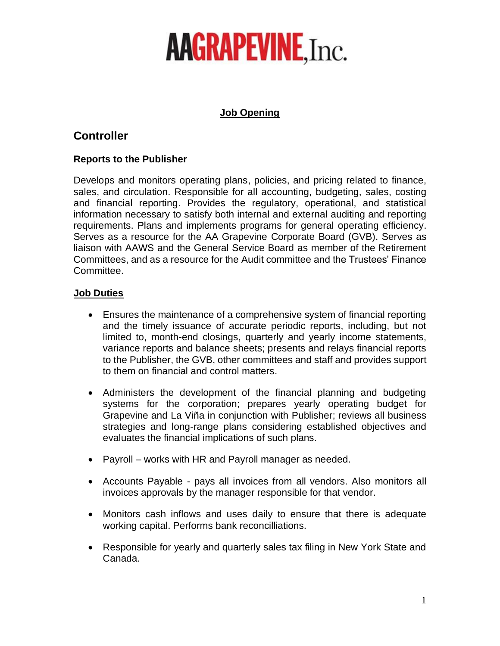# **AAGRAPEVINE, Inc.**

### **Job Opening**

## **Controller**

### **Reports to the Publisher**

Develops and monitors operating plans, policies, and pricing related to finance, sales, and circulation. Responsible for all accounting, budgeting, sales, costing and financial reporting. Provides the regulatory, operational, and statistical information necessary to satisfy both internal and external auditing and reporting requirements. Plans and implements programs for general operating efficiency. Serves as a resource for the AA Grapevine Corporate Board (GVB). Serves as liaison with AAWS and the General Service Board as member of the Retirement Committees, and as a resource for the Audit committee and the Trustees' Finance Committee.

### **Job Duties**

- Ensures the maintenance of a comprehensive system of financial reporting and the timely issuance of accurate periodic reports, including, but not limited to, month-end closings, quarterly and yearly income statements, variance reports and balance sheets; presents and relays financial reports to the Publisher, the GVB, other committees and staff and provides support to them on financial and control matters.
- Administers the development of the financial planning and budgeting systems for the corporation; prepares yearly operating budget for Grapevine and La Viña in conjunction with Publisher; reviews all business strategies and long-range plans considering established objectives and evaluates the financial implications of such plans.
- Payroll works with HR and Payroll manager as needed.
- Accounts Payable pays all invoices from all vendors. Also monitors all invoices approvals by the manager responsible for that vendor.
- Monitors cash inflows and uses daily to ensure that there is adequate working capital. Performs bank reconcilliations.
- Responsible for yearly and quarterly sales tax filing in New York State and Canada.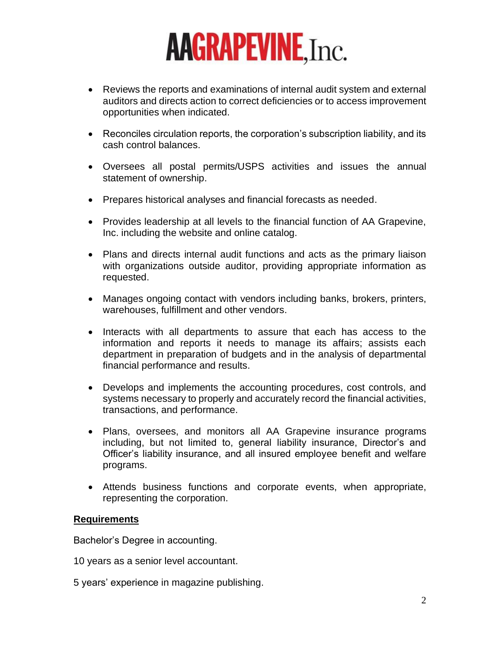# **AAGRAPEVINE, Inc.**

- Reviews the reports and examinations of internal audit system and external auditors and directs action to correct deficiencies or to access improvement opportunities when indicated.
- Reconciles circulation reports, the corporation's subscription liability, and its cash control balances.
- Oversees all postal permits/USPS activities and issues the annual statement of ownership.
- Prepares historical analyses and financial forecasts as needed.
- Provides leadership at all levels to the financial function of AA Grapevine, Inc. including the website and online catalog.
- Plans and directs internal audit functions and acts as the primary liaison with organizations outside auditor, providing appropriate information as requested.
- Manages ongoing contact with vendors including banks, brokers, printers, warehouses, fulfillment and other vendors.
- Interacts with all departments to assure that each has access to the information and reports it needs to manage its affairs; assists each department in preparation of budgets and in the analysis of departmental financial performance and results.
- Develops and implements the accounting procedures, cost controls, and systems necessary to properly and accurately record the financial activities, transactions, and performance.
- Plans, oversees, and monitors all AA Grapevine insurance programs including, but not limited to, general liability insurance, Director's and Officer's liability insurance, and all insured employee benefit and welfare programs.
- Attends business functions and corporate events, when appropriate, representing the corporation.

#### **Requirements**

Bachelor's Degree in accounting.

10 years as a senior level accountant.

5 years' experience in magazine publishing.